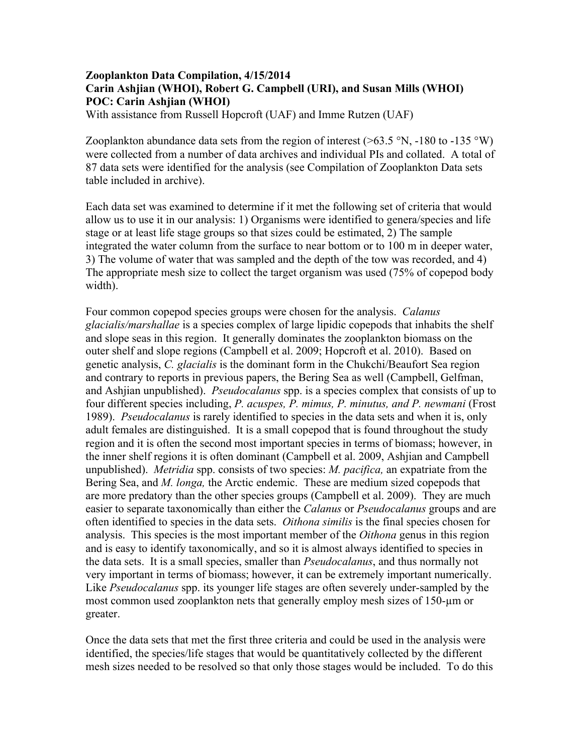## **Zooplankton Data Compilation, 4/15/2014 Carin Ashjian (WHOI), Robert G. Campbell (URI), and Susan Mills (WHOI) POC: Carin Ashjian (WHOI)**

With assistance from Russell Hopcroft (UAF) and Imme Rutzen (UAF)

Zooplankton abundance data sets from the region of interest ( $>63.5$  °N, -180 to -135 °W) were collected from a number of data archives and individual PIs and collated. A total of 87 data sets were identified for the analysis (see Compilation of Zooplankton Data sets table included in archive).

Each data set was examined to determine if it met the following set of criteria that would allow us to use it in our analysis: 1) Organisms were identified to genera/species and life stage or at least life stage groups so that sizes could be estimated, 2) The sample integrated the water column from the surface to near bottom or to 100 m in deeper water, 3) The volume of water that was sampled and the depth of the tow was recorded, and 4) The appropriate mesh size to collect the target organism was used (75% of copepod body width).

Four common copepod species groups were chosen for the analysis. *Calanus glacialis/marshallae* is a species complex of large lipidic copepods that inhabits the shelf and slope seas in this region. It generally dominates the zooplankton biomass on the outer shelf and slope regions (Campbell et al. 2009; Hopcroft et al. 2010). Based on genetic analysis, *C. glacialis* is the dominant form in the Chukchi/Beaufort Sea region and contrary to reports in previous papers, the Bering Sea as well (Campbell, Gelfman, and Ashjian unpublished). *Pseudocalanus* spp. is a species complex that consists of up to four different species including, *P. acuspes, P. mimus, P. minutus, and P. newmani* (Frost 1989). *Pseudocalanus* is rarely identified to species in the data sets and when it is, only adult females are distinguished. It is a small copepod that is found throughout the study region and it is often the second most important species in terms of biomass; however, in the inner shelf regions it is often dominant (Campbell et al. 2009, Ashjian and Campbell unpublished). *Metridia* spp. consists of two species: *M. pacifica,* an expatriate from the Bering Sea, and *M. longa,* the Arctic endemic. These are medium sized copepods that are more predatory than the other species groups (Campbell et al. 2009). They are much easier to separate taxonomically than either the *Calanus* or *Pseudocalanus* groups and are often identified to species in the data sets. *Oithona similis* is the final species chosen for analysis. This species is the most important member of the *Oithona* genus in this region and is easy to identify taxonomically, and so it is almost always identified to species in the data sets. It is a small species, smaller than *Pseudocalanus*, and thus normally not very important in terms of biomass; however, it can be extremely important numerically. Like *Pseudocalanus* spp. its younger life stages are often severely under-sampled by the most common used zooplankton nets that generally employ mesh sizes of 150-um or greater.

Once the data sets that met the first three criteria and could be used in the analysis were identified, the species/life stages that would be quantitatively collected by the different mesh sizes needed to be resolved so that only those stages would be included. To do this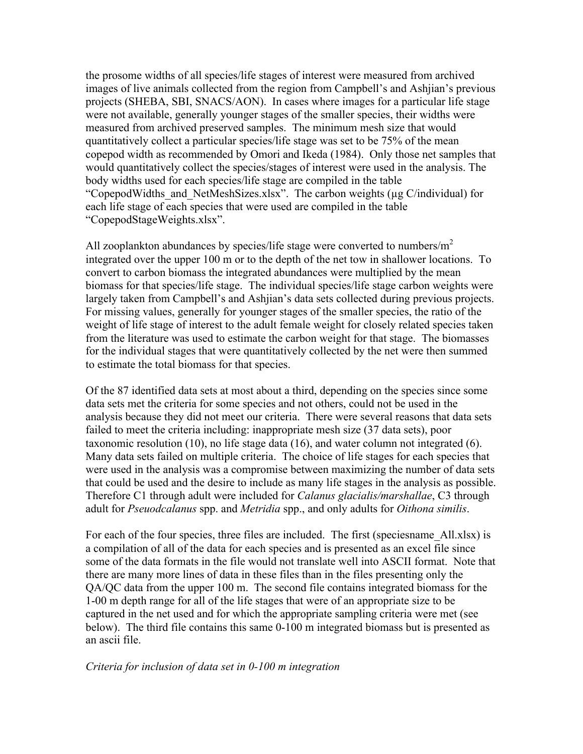the prosome widths of all species/life stages of interest were measured from archived images of live animals collected from the region from Campbell's and Ashjian's previous projects (SHEBA, SBI, SNACS/AON). In cases where images for a particular life stage were not available, generally younger stages of the smaller species, their widths were measured from archived preserved samples. The minimum mesh size that would quantitatively collect a particular species/life stage was set to be 75% of the mean copepod width as recommended by Omori and Ikeda (1984). Only those net samples that would quantitatively collect the species/stages of interest were used in the analysis. The body widths used for each species/life stage are compiled in the table "CopepodWidths\_and\_NetMeshSizes.xlsx". The carbon weights (µg C/individual) for each life stage of each species that were used are compiled in the table "CopepodStageWeights.xlsx".

All zooplankton abundances by species/life stage were converted to numbers/ $m<sup>2</sup>$ integrated over the upper 100 m or to the depth of the net tow in shallower locations. To convert to carbon biomass the integrated abundances were multiplied by the mean biomass for that species/life stage. The individual species/life stage carbon weights were largely taken from Campbell's and Ashjian's data sets collected during previous projects. For missing values, generally for younger stages of the smaller species, the ratio of the weight of life stage of interest to the adult female weight for closely related species taken from the literature was used to estimate the carbon weight for that stage. The biomasses for the individual stages that were quantitatively collected by the net were then summed to estimate the total biomass for that species.

Of the 87 identified data sets at most about a third, depending on the species since some data sets met the criteria for some species and not others, could not be used in the analysis because they did not meet our criteria. There were several reasons that data sets failed to meet the criteria including: inappropriate mesh size (37 data sets), poor taxonomic resolution (10), no life stage data (16), and water column not integrated (6). Many data sets failed on multiple criteria. The choice of life stages for each species that were used in the analysis was a compromise between maximizing the number of data sets that could be used and the desire to include as many life stages in the analysis as possible. Therefore C1 through adult were included for *Calanus glacialis/marshallae*, C3 through adult for *Pseuodcalanus* spp. and *Metridia* spp., and only adults for *Oithona similis*.

For each of the four species, three files are included. The first (speciesname All.xlsx) is a compilation of all of the data for each species and is presented as an excel file since some of the data formats in the file would not translate well into ASCII format. Note that there are many more lines of data in these files than in the files presenting only the QA/QC data from the upper 100 m. The second file contains integrated biomass for the 1-00 m depth range for all of the life stages that were of an appropriate size to be captured in the net used and for which the appropriate sampling criteria were met (see below). The third file contains this same 0-100 m integrated biomass but is presented as an ascii file.

## *Criteria for inclusion of data set in 0-100 m integration*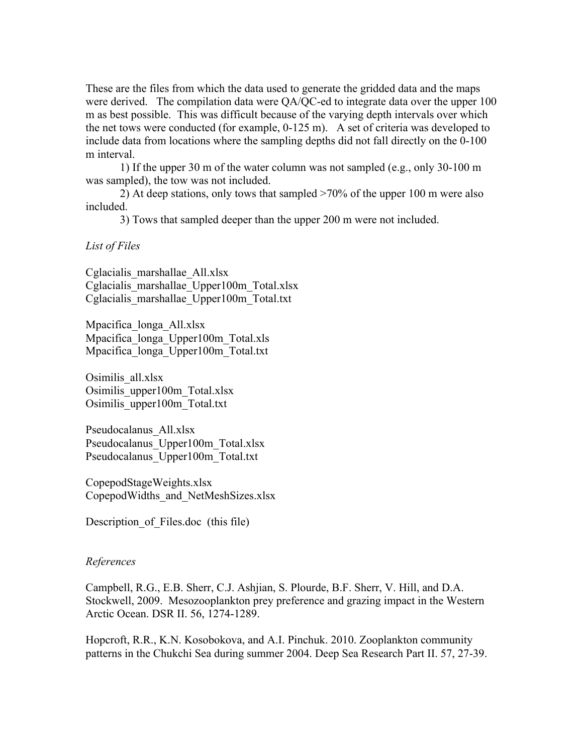These are the files from which the data used to generate the gridded data and the maps were derived. The compilation data were QA/QC-ed to integrate data over the upper 100 m as best possible. This was difficult because of the varying depth intervals over which the net tows were conducted (for example, 0-125 m). A set of criteria was developed to include data from locations where the sampling depths did not fall directly on the 0-100 m interval.

1) If the upper 30 m of the water column was not sampled (e.g., only 30-100 m was sampled), the tow was not included.

2) At deep stations, only tows that sampled >70% of the upper 100 m were also included.

3) Tows that sampled deeper than the upper 200 m were not included.

## *List of Files*

Cglacialis\_marshallae\_All.xlsx Cglacialis\_marshallae\_Upper100m\_Total.xlsx Cglacialis\_marshallae\_Upper100m\_Total.txt

Mpacifica\_longa\_All.xlsx Mpacifica\_longa\_Upper100m\_Total.xls Mpacifica\_longa\_Upper100m\_Total.txt

Osimilis\_all.xlsx Osimilis\_upper100m\_Total.xlsx Osimilis\_upper100m\_Total.txt

Pseudocalanus\_All.xlsx Pseudocalanus\_Upper100m\_Total.xlsx Pseudocalanus\_Upper100m\_Total.txt

CopepodStageWeights.xlsx CopepodWidths\_and\_NetMeshSizes.xlsx

Description of Files.doc (this file)

## *References*

Campbell, R.G., E.B. Sherr, C.J. Ashjian, S. Plourde, B.F. Sherr, V. Hill, and D.A. Stockwell, 2009. Mesozooplankton prey preference and grazing impact in the Western Arctic Ocean. DSR II. 56, 1274-1289.

Hopcroft, R.R., K.N. Kosobokova, and A.I. Pinchuk. 2010. Zooplankton community patterns in the Chukchi Sea during summer 2004. Deep Sea Research Part II. 57, 27-39.